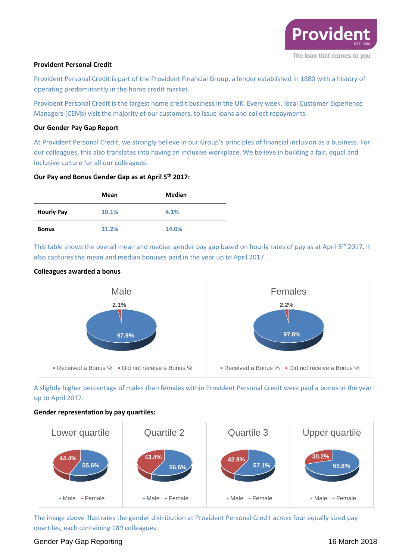

### **Provident Personal Credit**

Provident Personal Credit is part of the Provident Financial Group, a lender established in 1880 with a history of operating predominantly in the home credit market.

Provident Personal Credit is the largest home credit business in the UK. Every week, local Customer Experience Managers (CEMs) visit the majority of our customers, to issue loans and collect repayments.

### **Our Gender Pay Gap Report**

At Provident Personal Credit, we strongly believe in our Group's principles of financial inclusion as a business. For our colleagues, this also translates into having an inclusive workplace. We believe in building a fair, equal and inclusive culture for all our colleagues.

# **Our Pay and Bonus Gender Gap as at April 5th 2017:**

|                   | Mean  | Median |
|-------------------|-------|--------|
| <b>Hourly Pay</b> | 10.1% | 4.1%   |
| <b>Bonus</b>      | 21.2% | 14.0%  |

This table shows the overall mean and median gender pay gap based on hourly rates of pay as at April 5<sup>th</sup> 2017. It also captures the mean and median bonuses paid in the year up to April 2017.

### **Colleagues awarded a bonus**



A slightly higher percentage of males than females within Provident Personal Credit were paid a bonus in the year up to April 2017.

#### **Gender representation by pay quartiles:**



The image above illustrates the gender distribution at Provident Personal Credit across four equally sized pay quartiles, each containing 189 colleagues.

# Gender Pay Gap Reporting 16 March 2018